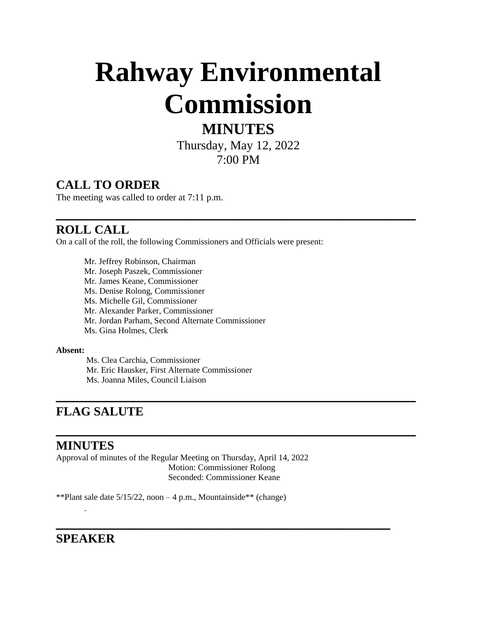# **Rahway Environmental Commission**

# **MINUTES**

Thursday, May 12, 2022 7:00 PM

**\_\_\_\_\_\_\_\_\_\_\_\_\_\_\_\_\_\_\_\_\_\_\_\_\_\_\_\_\_\_\_\_\_\_\_\_\_\_\_\_\_\_**

### **CALL TO ORDER**

The meeting was called to order at 7:11 p.m.

## **\_\_\_\_\_\_\_\_\_\_\_\_\_\_\_\_\_\_\_\_\_\_\_\_\_\_\_\_\_\_\_\_\_\_\_\_\_\_\_\_\_\_ ROLL CALL**

On a call of the roll, the following Commissioners and Officials were present:

Mr. Jeffrey Robinson, Chairman Mr. Joseph Paszek, Commissioner Mr. James Keane, Commissioner Ms. Denise Rolong, Commissioner Ms. Michelle Gil, Commissioner Mr. Alexander Parker, Commissioner Mr. Jordan Parham, Second Alternate Commissioner Ms. Gina Holmes, Clerk

#### **Absent:**

Ms. Clea Carchia, Commissioner Mr. Eric Hausker, First Alternate Commissioner Ms. Joanna Miles, Council Liaison

# **\_\_\_\_\_\_\_\_\_\_\_\_\_\_\_\_\_\_\_\_\_\_\_\_\_\_\_\_\_\_\_\_\_\_\_\_\_\_\_\_\_\_ FLAG SALUTE**

#### **MINUTES**

Approval of minutes of the Regular Meeting on Thursday, April 14, 2022 Motion: Commissioner Rolong Seconded: Commissioner Keane

\*\*Plant sale date  $5/15/22$ , noon  $-4$  p.m., Mountainside\*\* (change)

# **\_\_\_\_\_\_\_\_\_\_\_\_\_\_\_\_\_\_\_\_\_\_\_\_\_\_\_\_\_\_\_\_\_\_\_\_\_\_\_ SPEAKER**

 $\overline{a}$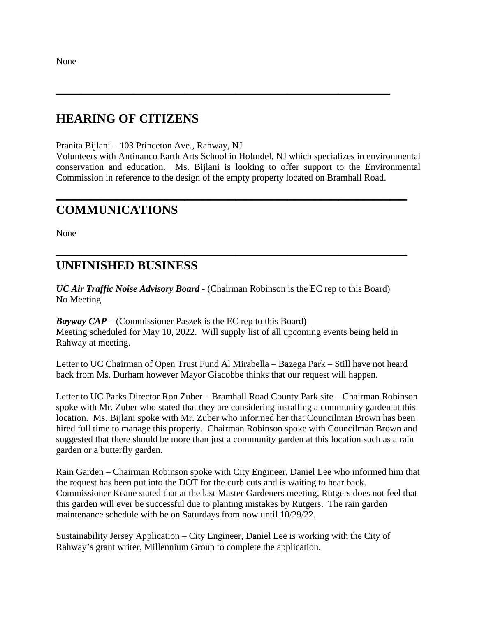None

#### **HEARING OF CITIZENS**

Pranita Bijlani – 103 Princeton Ave., Rahway, NJ

Volunteers with Antinanco Earth Arts School in Holmdel, NJ which specializes in environmental conservation and education. Ms. Bijlani is looking to offer support to the Environmental Commission in reference to the design of the empty property located on Bramhall Road.

**\_\_\_\_\_\_\_\_\_\_\_\_\_\_\_\_\_\_\_\_\_\_\_\_\_\_\_\_\_\_\_\_\_\_\_\_\_\_\_\_\_**

**\_\_\_\_\_\_\_\_\_\_\_\_\_\_\_\_\_\_\_\_\_\_\_\_\_\_\_\_\_\_\_\_\_\_\_\_\_\_\_\_\_**

**\_\_\_\_\_\_\_\_\_\_\_\_\_\_\_\_\_\_\_\_\_\_\_\_\_\_\_\_\_\_\_\_\_\_\_\_\_\_\_**

#### **COMMUNICATIONS**

None

#### **UNFINISHED BUSINESS**

*UC Air Traffic Noise Advisory Board* **-** (Chairman Robinson is the EC rep to this Board) No Meeting

*Bayway CAP* **–** (Commissioner Paszek is the EC rep to this Board) Meeting scheduled for May 10, 2022. Will supply list of all upcoming events being held in Rahway at meeting.

Letter to UC Chairman of Open Trust Fund Al Mirabella – Bazega Park – Still have not heard back from Ms. Durham however Mayor Giacobbe thinks that our request will happen.

Letter to UC Parks Director Ron Zuber – Bramhall Road County Park site – Chairman Robinson spoke with Mr. Zuber who stated that they are considering installing a community garden at this location. Ms. Bijlani spoke with Mr. Zuber who informed her that Councilman Brown has been hired full time to manage this property. Chairman Robinson spoke with Councilman Brown and suggested that there should be more than just a community garden at this location such as a rain garden or a butterfly garden.

Rain Garden – Chairman Robinson spoke with City Engineer, Daniel Lee who informed him that the request has been put into the DOT for the curb cuts and is waiting to hear back. Commissioner Keane stated that at the last Master Gardeners meeting, Rutgers does not feel that this garden will ever be successful due to planting mistakes by Rutgers. The rain garden maintenance schedule with be on Saturdays from now until 10/29/22.

Sustainability Jersey Application – City Engineer, Daniel Lee is working with the City of Rahway's grant writer, Millennium Group to complete the application.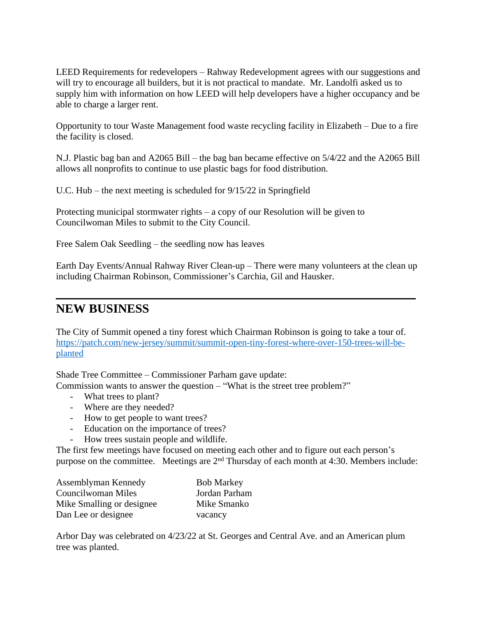LEED Requirements for redevelopers – Rahway Redevelopment agrees with our suggestions and will try to encourage all builders, but it is not practical to mandate. Mr. Landolfi asked us to supply him with information on how LEED will help developers have a higher occupancy and be able to charge a larger rent.

Opportunity to tour Waste Management food waste recycling facility in Elizabeth – Due to a fire the facility is closed.

N.J. Plastic bag ban and A2065 Bill – the bag ban became effective on 5/4/22 and the A2065 Bill allows all nonprofits to continue to use plastic bags for food distribution.

U.C. Hub – the next meeting is scheduled for 9/15/22 in Springfield

Protecting municipal stormwater rights – a copy of our Resolution will be given to Councilwoman Miles to submit to the City Council.

Free Salem Oak Seedling – the seedling now has leaves

Earth Day Events/Annual Rahway River Clean-up – There were many volunteers at the clean up including Chairman Robinson, Commissioner's Carchia, Gil and Hausker.

**\_\_\_\_\_\_\_\_\_\_\_\_\_\_\_\_\_\_\_\_\_\_\_\_\_\_\_\_\_\_\_\_\_\_\_\_\_\_\_\_\_\_**

#### **NEW BUSINESS**

The City of Summit opened a tiny forest which Chairman Robinson is going to take a tour of. [https://patch.com/new-jersey/summit/summit-open-tiny-forest-where-over-150-trees-will-be](https://patch.com/new-jersey/summit/summit-open-tiny-forest-where-over-150-trees-will-be-planted)planted

Shade Tree Committee – Commissioner Parham gave update:

Commission wants to answer the question – "What is the street tree problem?"

- What trees to plant?
- Where are they needed?
- How to get people to want trees?
- Education on the importance of trees?
- How trees sustain people and wildlife.

The first few meetings have focused on meeting each other and to figure out each person's purpose on the committee. Meetings are 2nd Thursday of each month at 4:30. Members include:

| Assemblyman Kennedy       | <b>Bob Markey</b> |
|---------------------------|-------------------|
| Councilwoman Miles        | Jordan Parham     |
| Mike Smalling or designee | Mike Smanko       |
| Dan Lee or designee       | vacancy           |

Arbor Day was celebrated on 4/23/22 at St. Georges and Central Ave. and an American plum tree was planted.